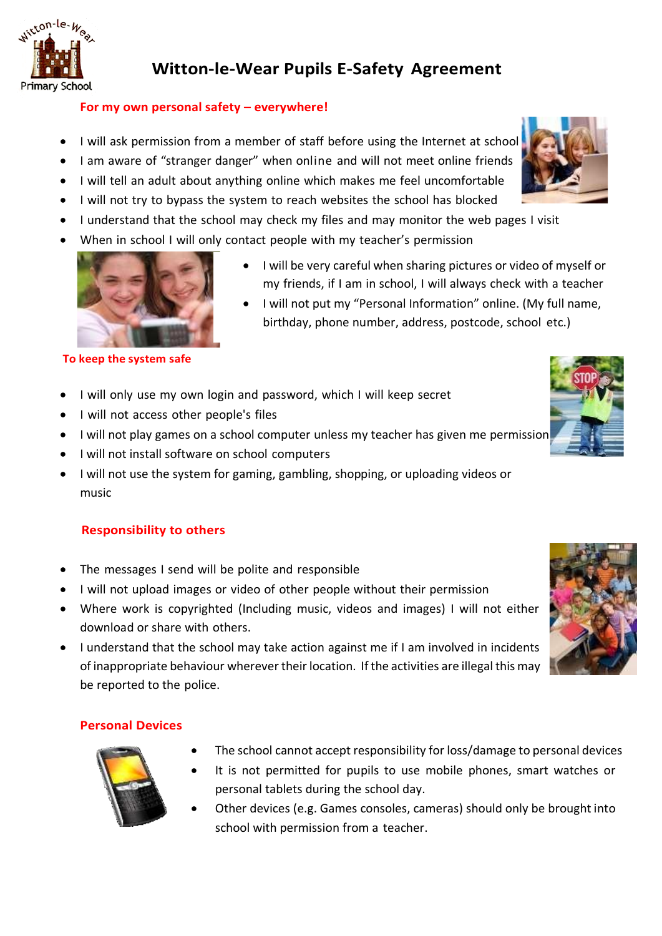

# **Witton-le-Wear Pupils E-Safety Agreement**

## **For my own personal safety – everywhere!**

- I will ask permission from a member of staff before using the Internet at schoo
- I am aware of "stranger danger" when online and will not meet online friends
- I will tell an adult about anything online which makes me feel uncomfortable
- I will not try to bypass the system to reach websites the school has blocked
- I understand that the school may check my files and may monitor the web pages I visit
- When in school I will only contact people with my teacher's permission



#### **To keep the system safe**

- I will only use my own login and password, which I will keep secret
- I will not access other people's files
- I will not play games on a school computer unless my teacher has given me permission
- I will not install software on school computers
- I will not use the system for gaming, gambling, shopping, or uploading videos or music

## **Responsibility to others**

- The messages I send will be polite and responsible
- I will not upload images or video of other people without their permission
- Where work is copyrighted (Including music, videos and images) I will not either download or share with others.
- I understand that the school may take action against me if I am involved in incidents of inappropriate behaviour wherever their location. If the activities are illegal this may be reported to the police.

## **Personal Devices**

• The school cannot accept responsibility for loss/damage to personal devices

• I will be very careful when sharing pictures or video of myself or my friends, if I am in school, I will always check with a teacher • I will not put my "Personal Information" online. (My full name, birthday, phone number, address, postcode, school etc.)

- It is not permitted for pupils to use mobile phones, smart watches or personal tablets during the school day.
- Other devices (e.g. Games consoles, cameras) should only be brought into school with permission from a teacher.